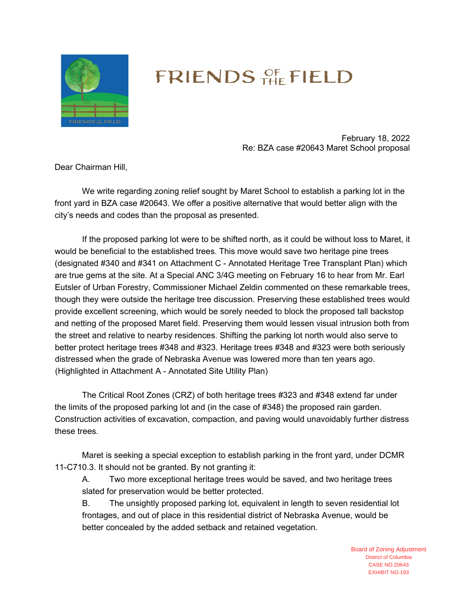

## FRIENDS OF FIELD

February 18, 2022 Re: BZA case #20643 Maret School proposal

Dear Chairman Hill,

We write regarding zoning relief sought by Maret School to establish a parking lot in the front yard in BZA case #20643. We offer a positive alternative that would better align with the city's needs and codes than the proposal as presented.

If the proposed parking lot were to be shifted north, as it could be without loss to Maret, it would be beneficial to the established trees. This move would save two heritage pine trees (designated #340 and #341 on Attachment C - Annotated Heritage Tree Transplant Plan) which are true gems at the site. At a Special ANC 3/4G meeting on February 16 to hear from Mr. Earl Eutsler of Urban Forestry, Commissioner Michael Zeldin commented on these remarkable trees, though they were outside the heritage tree discussion. Preserving these established trees would provide excellent screening, which would be sorely needed to block the proposed tall backstop and netting of the proposed Maret field. Preserving them would lessen visual intrusion both from the street and relative to nearby residences. Shifting the parking lot north would also serve to better protect heritage trees #348 and #323. Heritage trees #348 and #323 were both seriously distressed when the grade of Nebraska Avenue was lowered more than ten years ago. (Highlighted in Attachment A - Annotated Site Utility Plan)

The Critical Root Zones (CRZ) of both heritage trees #323 and #348 extend far under the limits of the proposed parking lot and (in the case of #348) the proposed rain garden. Construction activities of excavation, compaction, and paving would unavoidably further distress these trees.

Maret is seeking a special exception to establish parking in the front yard, under DCMR 11-C710.3. It should not be granted. By not granting it:

A. Two more exceptional heritage trees would be saved, and two heritage trees slated for preservation would be better protected.

B. The unsightly proposed parking lot, equivalent in length to seven residential lot frontages, and out of place in this residential district of Nebraska Avenue, would be better concealed by the added setback and retained vegetation.